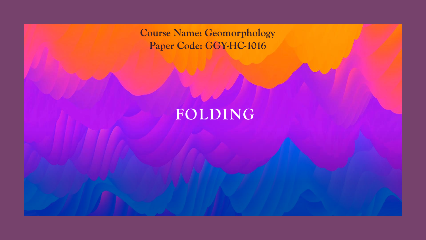**Course Name: Geomorphology Paper Code: GGY-HC-1016**

# **FOLDING**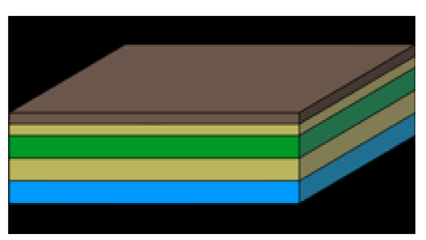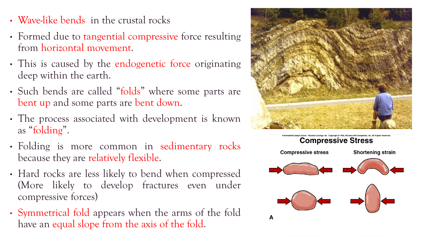- Wave-like bends in the crustal rocks
- Formed due to tangential compressive force resulting from horizontal movement.
- This is caused by the endogenetic force originating deep within the earth.
- Such bends are called "folds" where some parts are bent up and some parts are bent down.
- The process associated with development is known as "folding".
- Folding is more common in sedimentary rocks because they are relatively flexible.
- Hard rocks are less likely to bend when compressed (More likely to develop fractures even under compressive forces)
- Symmetrical fold appears when the arms of the fold have an equal slope from the axis of the fold.



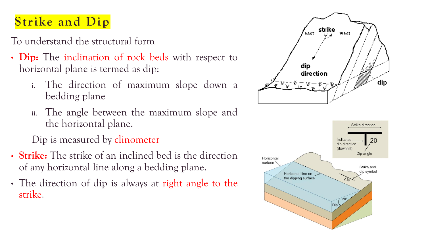## **Strike and Dip**

To understand the structural form

- **Dip:** The inclination of rock beds with respect to horizontal plane is termed as dip:
	- i. The direction of maximum slope down a bedding plane
	- ii. The angle between the maximum slope and the horizontal plane.

Dip is measured by clinometer

- **Strike:** The strike of an inclined bed is the direction of any horizontal line along a bedding plane.
- The direction of dip is always at right angle to the strike.

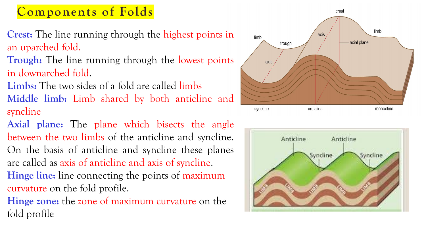### **Components of Folds**

- **Crest:** The line running through the highest points in an uparched fold.
- **Trough:** The line running through the lowest points in downarched fold.
- **Limbs:** The two sides of a fold are called limbs **Middle limb:** Limb shared by both anticline and syncline
- **Axial plane:** The plane which bisects the angle between the two limbs of the anticline and syncline. On the basis of anticline and syncline these planes are called as axis of anticline and axis of syncline. **Hinge line:** line connecting the points of maximum curvature on the fold profile.
- **Hinge zone:** the zone of maximum curvature on the fold profile



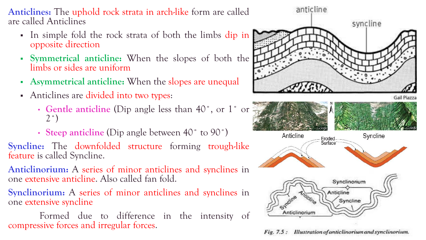**Anticlines:** The uphold rock strata in arch-like form are called are called Anticlines

- In simple fold the rock strata of both the limbs dip in opposite direction
- **Symmetrical anticline:** When the slopes of both the limbs or sides are uniform
- **Asymmetrical anticline:** When the slopes are unequal
- Anticlines are divided into two types:
	- **Gentle anticline** (Dip angle less than 40°, or 1° or 2˚)
	- **Steep anticline** (Dip angle between 40˚ to 90˚)

**Syncline:** The downfolded structure forming trough-like feature is called Syncline.

**Anticlinorium:** A series of minor anticlines and synclines in one extensive anticline. Also called fan fold.

**Synclinorium:** A series of minor anticlines and synclines in one extensive syncline

Formed due to difference in the intensity of compressive forces and irregular forces.



Fig. 7.5: Illustration of anticlinorium and synclinorium.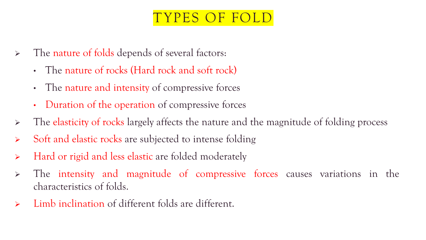## TYPES OF FOLD

- ➢ The nature of folds depends of several factors:
	- The nature of rocks (Hard rock and soft rock)
	- The nature and intensity of compressive forces
	- Duration of the operation of compressive forces
- $\triangleright$  The elasticity of rocks largely affects the nature and the magnitude of folding process
- ➢ Soft and elastic rocks are subjected to intense folding
- ➢ Hard or rigid and less elastic are folded moderately
- ➢ The intensity and magnitude of compressive forces causes variations in the characteristics of folds.
- ➢ Limb inclination of different folds are different.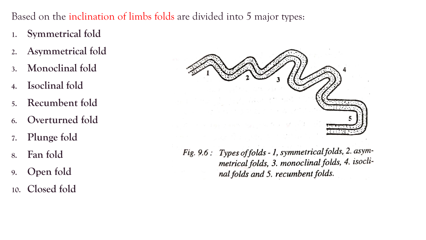Based on the inclination of limbs folds are divided into 5 major types:

- **1. Symmetrical fold**
- **2. Asymmetrical fold**
- **3. Monoclinal fold**
- **4. Isoclinal fold**
- **5. Recumbent fold**
- **6. Overturned fold**
- **7. Plunge fold**
- **8. Fan fold**
- **9. Open fold**
- **10. Closed fold**



Fig. 9.6: Types of folds - 1, symmetrical folds, 2. asymmetrical folds, 3. monoclinal folds, 4. isoclinal folds and 5. recumbent folds.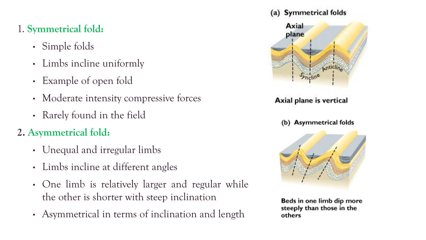#### 1. **Symmetrical fold:**

- Simple folds
- Limbs incline uniformly
- Example of open fold
- Moderate intensity compressive forces
- Rarely found in the field
- **2. Asymmetrical fold:**
	- Unequal and irregular limbs
	- Limbs incline at different angles
	- One limb is relatively larger and regular while the other is shorter with steep inclination
	- Asymmetrical in terms of inclination and length



Beds in one limb dip more steeply than those in the others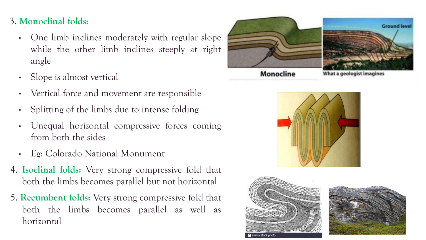#### 3. **Monoclinal folds:**

- One limb inclines moderately with regular slope while the other limb inclines steeply at right angle
- Slope is almost vertical
- Vertical force and movement are responsible
- Splitting of the limbs due to intense folding
- Unequal horizontal compressive forces coming from both the sides
- Eg: Colorado National Monument
- 4. **Isoclinal folds:** Very strong compressive fold that both the limbs becomes parallel but not horizontal
- 5. **Recumbent folds:** Very strong compressive fold that both the limbs becomes parallel as well as horizontal



**Monocline** 

a geologist imagines





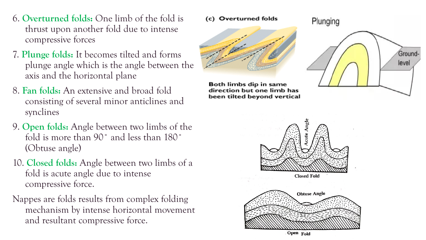- 6. **Overturned folds:** One limb of the fold is thrust upon another fold due to intense compressive forces
- 7. **Plunge folds:** It becomes tilted and forms plunge angle which is the angle between the axis and the horizontal plane
- 8. **Fan folds:** An extensive and broad fold consisting of several minor anticlines and synclines
- 9. **Open folds:** Angle between two limbs of the fold is more than 90˚ and less than 180˚ (Obtuse angle)
- 10. **Closed folds:** Angle between two limbs of a fold is acute angle due to intense compressive force.
- Nappes are folds results from complex folding mechanism by intense horizontal movement and resultant compressive force.